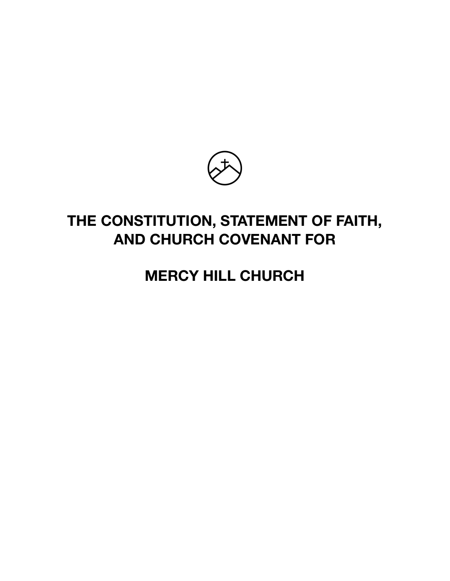

# **THE CONSTITUTION, STATEMENT OF FAITH, AND CHURCH COVENANT FOR**

# **MERCY HILL CHURCH**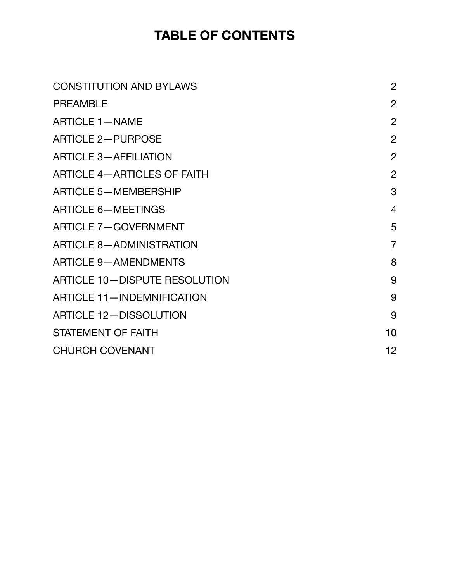# **TABLE OF CONTENTS**

| <b>CONSTITUTION AND BYLAWS</b>       | $\overline{2}$ |
|--------------------------------------|----------------|
| <b>PREAMBLE</b>                      | $\overline{2}$ |
| <b>ARTICLE 1-NAME</b>                | $\overline{2}$ |
| <b>ARTICLE 2-PURPOSE</b>             | $\overline{2}$ |
| <b>ARTICLE 3-AFFILIATION</b>         | $\overline{2}$ |
| <b>ARTICLE 4-ARTICLES OF FAITH</b>   | $\overline{2}$ |
| <b>ARTICLE 5-MEMBERSHIP</b>          | 3              |
| <b>ARTICLE 6-MEETINGS</b>            | $\overline{4}$ |
| <b>ARTICLE 7-GOVERNMENT</b>          | 5              |
| <b>ARTICLE 8-ADMINISTRATION</b>      | $\overline{7}$ |
| <b>ARTICLE 9-AMENDMENTS</b>          | 8              |
| <b>ARTICLE 10-DISPUTE RESOLUTION</b> | 9              |
| <b>ARTICLE 11-INDEMNIFICATION</b>    | 9              |
| <b>ARTICLE 12-DISSOLUTION</b>        | 9              |
| <b>STATEMENT OF FAITH</b>            | 10             |
| <b>CHURCH COVENANT</b>               | 12             |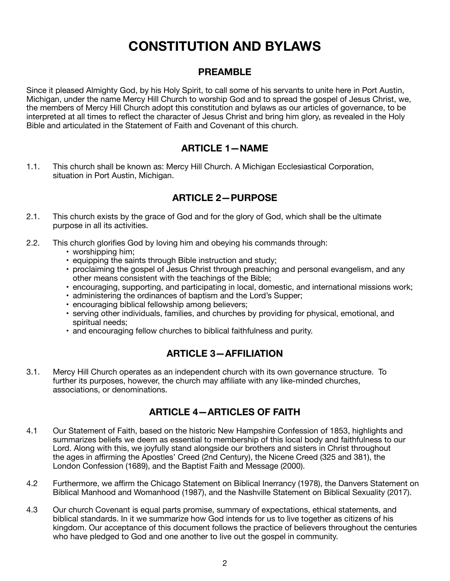# <span id="page-2-0"></span>**CONSTITUTION AND BYLAWS**

# <span id="page-2-1"></span>**PREAMBLE**

Since it pleased Almighty God, by his Holy Spirit, to call some of his servants to unite here in Port Austin, Michigan, under the name Mercy Hill Church to worship God and to spread the gospel of Jesus Christ, we, the members of Mercy Hill Church adopt this constitution and bylaws as our articles of governance, to be interpreted at all times to reflect the character of Jesus Christ and bring him glory, as revealed in the Holy Bible and articulated in the Statement of Faith and Covenant of this church.

# <span id="page-2-2"></span>**ARTICLE 1—NAME**

1.1. This church shall be known as: Mercy Hill Church. A Michigan Ecclesiastical Corporation, situation in Port Austin, Michigan.

# <span id="page-2-3"></span>**ARTICLE 2—PURPOSE**

- 2.1. This church exists by the grace of God and for the glory of God, which shall be the ultimate purpose in all its activities.
- 2.2. This church glorifies God by loving him and obeying his commands through:
	- worshipping him;
	- equipping the saints through Bible instruction and study;
	- proclaiming the gospel of Jesus Christ through preaching and personal evangelism, and any other means consistent with the teachings of the Bible;
	- encouraging, supporting, and participating in local, domestic, and international missions work;
	- administering the ordinances of baptism and the Lord's Supper;
	- encouraging biblical fellowship among believers;
	- serving other individuals, families, and churches by providing for physical, emotional, and spiritual needs;
	- and encouraging fellow churches to biblical faithfulness and purity.

# <span id="page-2-4"></span>**ARTICLE 3—AFFILIATION**

3.1. Mercy Hill Church operates as an independent church with its own governance structure. To further its purposes, however, the church may affiliate with any like-minded churches, associations, or denominations.

# <span id="page-2-5"></span>**ARTICLE 4—ARTICLES OF FAITH**

- 4.1 Our Statement of Faith, based on the historic New Hampshire Confession of 1853, highlights and summarizes beliefs we deem as essential to membership of this local body and faithfulness to our Lord. Along with this, we joyfully stand alongside our brothers and sisters in Christ throughout the ages in affirming the Apostles' Creed (2nd Century), the Nicene Creed (325 and 381), the London Confession (1689), and the Baptist Faith and Message (2000).
- 4.2 Furthermore, we affirm the Chicago Statement on Biblical Inerrancy (1978), the Danvers Statement on Biblical Manhood and Womanhood (1987), and the Nashville Statement on Biblical Sexuality (2017).
- 4.3 Our church Covenant is equal parts promise, summary of expectations, ethical statements, and biblical standards. In it we summarize how God intends for us to live together as citizens of his kingdom. Our acceptance of this document follows the practice of believers throughout the centuries who have pledged to God and one another to live out the gospel in community.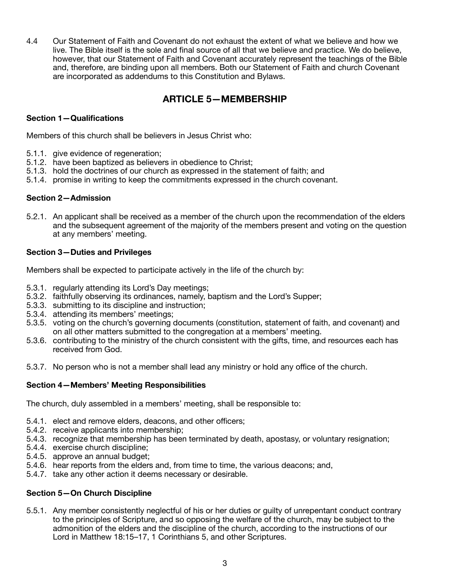4.4 Our Statement of Faith and Covenant do not exhaust the extent of what we believe and how we live. The Bible itself is the sole and final source of all that we believe and practice. We do believe, however, that our Statement of Faith and Covenant accurately represent the teachings of the Bible and, therefore, are binding upon all members. Both our Statement of Faith and church Covenant are incorporated as addendums to this Constitution and Bylaws.

# <span id="page-3-0"></span>**ARTICLE 5—MEMBERSHIP**

### **Section 1—Qualifications**

Members of this church shall be believers in Jesus Christ who:

- 5.1.1. give evidence of regeneration;
- 5.1.2. have been baptized as believers in obedience to Christ;
- 5.1.3. hold the doctrines of our church as expressed in the statement of faith; and
- 5.1.4. promise in writing to keep the commitments expressed in the church covenant.

### **Section 2—Admission**

5.2.1. An applicant shall be received as a member of the church upon the recommendation of the elders and the subsequent agreement of the majority of the members present and voting on the question at any members' meeting.

### **Section 3—Duties and Privileges**

Members shall be expected to participate actively in the life of the church by:

- 5.3.1. regularly attending its Lord's Day meetings;
- 5.3.2. faithfully observing its ordinances, namely, baptism and the Lord's Supper;
- 5.3.3. submitting to its discipline and instruction;
- 5.3.4. attending its members' meetings;
- 5.3.5. voting on the church's governing documents (constitution, statement of faith, and covenant) and on all other matters submitted to the congregation at a members' meeting.
- 5.3.6. contributing to the ministry of the church consistent with the gifts, time, and resources each has received from God.
- 5.3.7. No person who is not a member shall lead any ministry or hold any office of the church.

### **Section 4—Members' Meeting Responsibilities**

The church, duly assembled in a members' meeting, shall be responsible to:

- 5.4.1. elect and remove elders, deacons, and other officers;
- 5.4.2. receive applicants into membership;
- 5.4.3. recognize that membership has been terminated by death, apostasy, or voluntary resignation;
- 5.4.4. exercise church discipline;
- 5.4.5. approve an annual budget;
- 5.4.6. hear reports from the elders and, from time to time, the various deacons; and,
- 5.4.7. take any other action it deems necessary or desirable.

### **Section 5—On Church Discipline**

5.5.1. Any member consistently neglectful of his or her duties or guilty of unrepentant conduct contrary to the principles of Scripture, and so opposing the welfare of the church, may be subject to the admonition of the elders and the discipline of the church, according to the instructions of our Lord in Matthew 18:15–17, 1 Corinthians 5, and other Scriptures.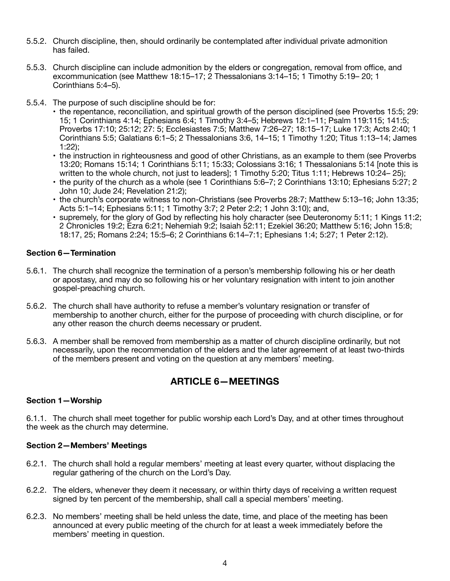- 5.5.2. Church discipline, then, should ordinarily be contemplated after individual private admonition has failed.
- 5.5.3. Church discipline can include admonition by the elders or congregation, removal from office, and excommunication (see Matthew 18:15–17; 2 Thessalonians 3:14–15; 1 Timothy 5:19– 20; 1 Corinthians 5:4–5).
- 5.5.4. The purpose of such discipline should be for:
	- the repentance, reconciliation, and spiritual growth of the person disciplined (see Proverbs 15:5; 29: 15; 1 Corinthians 4:14; Ephesians 6:4; 1 Timothy 3:4–5; Hebrews 12:1–11; Psalm 119:115; 141:5; Proverbs 17:10; 25:12; 27: 5; Ecclesiastes 7:5; Matthew 7:26–27; 18:15–17; Luke 17:3; Acts 2:40; 1 Corinthians 5:5; Galatians 6:1–5; 2 Thessalonians 3:6, 14–15; 1 Timothy 1:20; Titus 1:13–14; James 1:22);
	- the instruction in righteousness and good of other Christians, as an example to them (see Proverbs 13:20; Romans 15:14; 1 Corinthians 5:11; 15:33; Colossians 3:16; 1 Thessalonians 5:14 [note this is written to the whole church, not just to leaders]; 1 Timothy 5:20; Titus 1:11; Hebrews 10:24– 25);
	- the purity of the church as a whole (see 1 Corinthians 5:6–7; 2 Corinthians 13:10; Ephesians 5:27; 2 John 10; Jude 24; Revelation 21:2);
	- the church's corporate witness to non-Christians (see Proverbs 28:7; Matthew 5:13–16; John 13:35; Acts 5:1–14; Ephesians 5:11; 1 Timothy 3:7; 2 Peter 2:2; 1 John 3:10); and,
	- supremely, for the glory of God by reflecting his holy character (see Deuteronomy 5:11; 1 Kings 11:2; 2 Chronicles 19:2; Ezra 6:21; Nehemiah 9:2; Isaiah 52:11; Ezekiel 36:20; Matthew 5:16; John 15:8; 18:17, 25; Romans 2:24; 15:5–6; 2 Corinthians 6:14–7:1; Ephesians 1:4; 5:27; 1 Peter 2:12).

### **Section 6—Termination**

- 5.6.1. The church shall recognize the termination of a person's membership following his or her death or apostasy, and may do so following his or her voluntary resignation with intent to join another gospel-preaching church.
- 5.6.2. The church shall have authority to refuse a member's voluntary resignation or transfer of membership to another church, either for the purpose of proceeding with church discipline, or for any other reason the church deems necessary or prudent.
- 5.6.3. A member shall be removed from membership as a matter of church discipline ordinarily, but not necessarily, upon the recommendation of the elders and the later agreement of at least two-thirds of the members present and voting on the question at any members' meeting.

# <span id="page-4-0"></span>**ARTICLE 6—MEETINGS**

### **Section 1—Worship**

6.1.1. The church shall meet together for public worship each Lord's Day, and at other times throughout the week as the church may determine.

### **Section 2—Members' Meetings**

- 6.2.1. The church shall hold a regular members' meeting at least every quarter, without displacing the regular gathering of the church on the Lord's Day.
- 6.2.2. The elders, whenever they deem it necessary, or within thirty days of receiving a written request signed by ten percent of the membership, shall call a special members' meeting.
- 6.2.3. No members' meeting shall be held unless the date, time, and place of the meeting has been announced at every public meeting of the church for at least a week immediately before the members' meeting in question.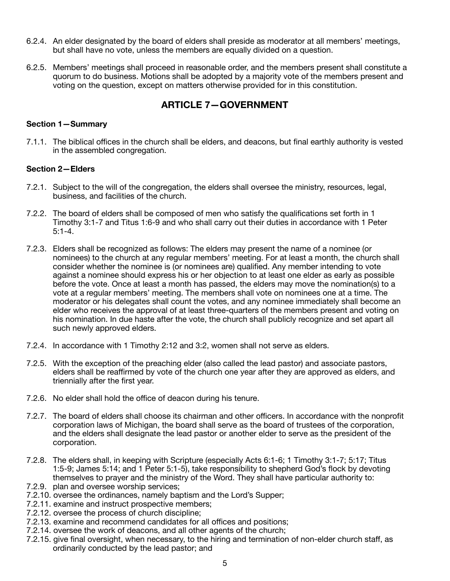- 6.2.4. An elder designated by the board of elders shall preside as moderator at all members' meetings, but shall have no vote, unless the members are equally divided on a question.
- 6.2.5. Members' meetings shall proceed in reasonable order, and the members present shall constitute a quorum to do business. Motions shall be adopted by a majority vote of the members present and voting on the question, except on matters otherwise provided for in this constitution.

# <span id="page-5-0"></span>**ARTICLE 7—GOVERNMENT**

### **Section 1—Summary**

7.1.1. The biblical offices in the church shall be elders, and deacons, but final earthly authority is vested in the assembled congregation.

### **Section 2—Elders**

- 7.2.1. Subject to the will of the congregation, the elders shall oversee the ministry, resources, legal, business, and facilities of the church.
- 7.2.2. The board of elders shall be composed of men who satisfy the qualifications set forth in 1 Timothy 3:1-7 and Titus 1:6-9 and who shall carry out their duties in accordance with 1 Peter 5:1-4.
- 7.2.3. Elders shall be recognized as follows: The elders may present the name of a nominee (or nominees) to the church at any regular members' meeting. For at least a month, the church shall consider whether the nominee is (or nominees are) qualified. Any member intending to vote against a nominee should express his or her objection to at least one elder as early as possible before the vote. Once at least a month has passed, the elders may move the nomination(s) to a vote at a regular members' meeting. The members shall vote on nominees one at a time. The moderator or his delegates shall count the votes, and any nominee immediately shall become an elder who receives the approval of at least three-quarters of the members present and voting on his nomination. In due haste after the vote, the church shall publicly recognize and set apart all such newly approved elders.
- 7.2.4. In accordance with 1 Timothy 2:12 and 3:2, women shall not serve as elders.
- 7.2.5. With the exception of the preaching elder (also called the lead pastor) and associate pastors, elders shall be reaffirmed by vote of the church one year after they are approved as elders, and triennially after the first year.
- 7.2.6. No elder shall hold the office of deacon during his tenure.
- 7.2.7. The board of elders shall choose its chairman and other officers. In accordance with the nonprofit corporation laws of Michigan, the board shall serve as the board of trustees of the corporation, and the elders shall designate the lead pastor or another elder to serve as the president of the corporation.
- 7.2.8. The elders shall, in keeping with Scripture (especially Acts 6:1-6; 1 Timothy 3:1-7; 5:17; Titus 1:5-9; James 5:14; and 1 Peter 5:1-5), take responsibility to shepherd God's flock by devoting themselves to prayer and the ministry of the Word. They shall have particular authority to:
- 7.2.9. plan and oversee worship services;
- 7.2.10. oversee the ordinances, namely baptism and the Lord's Supper;
- 7.2.11. examine and instruct prospective members;
- 7.2.12. oversee the process of church discipline;
- 7.2.13. examine and recommend candidates for all offices and positions;
- 7.2.14. oversee the work of deacons, and all other agents of the church;
- 7.2.15. give final oversight, when necessary, to the hiring and termination of non-elder church staff, as ordinarily conducted by the lead pastor; and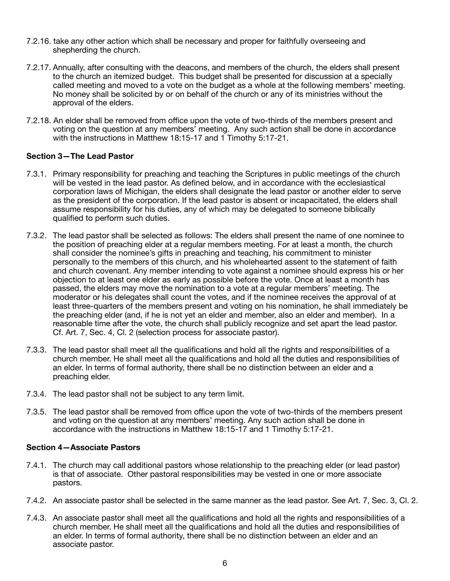- 7.2.16. take any other action which shall be necessary and proper for faithfully overseeing and shepherding the church.
- 7.2.17. Annually, after consulting with the deacons, and members of the church, the elders shall present to the church an itemized budget. This budget shall be presented for discussion at a specially called meeting and moved to a vote on the budget as a whole at the following members' meeting. No money shall be solicited by or on behalf of the church or any of its ministries without the approval of the elders.
- 7.2.18. An elder shall be removed from office upon the vote of two-thirds of the members present and voting on the question at any members' meeting. Any such action shall be done in accordance with the instructions in Matthew 18:15-17 and 1 Timothy 5:17-21.

### **Section 3—The Lead Pastor**

- 7.3.1. Primary responsibility for preaching and teaching the Scriptures in public meetings of the church will be vested in the lead pastor. As defined below, and in accordance with the ecclesiastical corporation laws of Michigan, the elders shall designate the lead pastor or another elder to serve as the president of the corporation. If the lead pastor is absent or incapacitated, the elders shall assume responsibility for his duties, any of which may be delegated to someone biblically qualified to perform such duties.
- 7.3.2. The lead pastor shall be selected as follows: The elders shall present the name of one nominee to the position of preaching elder at a regular members meeting. For at least a month, the church shall consider the nominee's gifts in preaching and teaching, his commitment to minister personally to the members of this church, and his wholehearted assent to the statement of faith and church covenant. Any member intending to vote against a nominee should express his or her objection to at least one elder as early as possible before the vote. Once at least a month has passed, the elders may move the nomination to a vote at a regular members' meeting. The moderator or his delegates shall count the votes, and if the nominee receives the approval of at least three-quarters of the members present and voting on his nomination, he shall immediately be the preaching elder (and, if he is not yet an elder and member, also an elder and member). In a reasonable time after the vote, the church shall publicly recognize and set apart the lead pastor. Cf. Art. 7, Sec. 4, Cl. 2 (selection process for associate pastor).
- 7.3.3. The lead pastor shall meet all the qualifications and hold all the rights and responsibilities of a church member. He shall meet all the qualifications and hold all the duties and responsibilities of an elder. In terms of formal authority, there shall be no distinction between an elder and a preaching elder.
- 7.3.4. The lead pastor shall not be subject to any term limit.
- 7.3.5. The lead pastor shall be removed from office upon the vote of two-thirds of the members present and voting on the question at any members' meeting. Any such action shall be done in accordance with the instructions in Matthew 18:15-17 and 1 Timothy 5:17-21.

### **Section 4—Associate Pastors**

- 7.4.1. The church may call additional pastors whose relationship to the preaching elder (or lead pastor) is that of associate. Other pastoral responsibilities may be vested in one or more associate pastors.
- 7.4.2. An associate pastor shall be selected in the same manner as the lead pastor. See Art. 7, Sec. 3, Cl. 2.
- 7.4.3. An associate pastor shall meet all the qualifications and hold all the rights and responsibilities of a church member. He shall meet all the qualifications and hold all the duties and responsibilities of an elder. In terms of formal authority, there shall be no distinction between an elder and an associate pastor.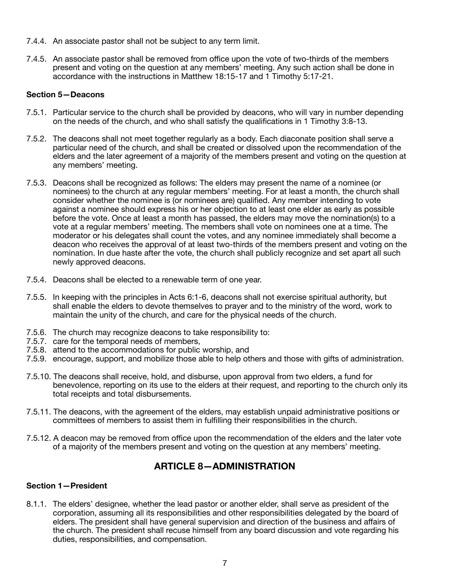- 7.4.4. An associate pastor shall not be subject to any term limit.
- 7.4.5. An associate pastor shall be removed from office upon the vote of two-thirds of the members present and voting on the question at any members' meeting. Any such action shall be done in accordance with the instructions in Matthew 18:15-17 and 1 Timothy 5:17-21.

### **Section 5—Deacons**

- 7.5.1. Particular service to the church shall be provided by deacons, who will vary in number depending on the needs of the church, and who shall satisfy the qualifications in 1 Timothy 3:8-13.
- 7.5.2. The deacons shall not meet together regularly as a body. Each diaconate position shall serve a particular need of the church, and shall be created or dissolved upon the recommendation of the elders and the later agreement of a majority of the members present and voting on the question at any members' meeting.
- 7.5.3. Deacons shall be recognized as follows: The elders may present the name of a nominee (or nominees) to the church at any regular members' meeting. For at least a month, the church shall consider whether the nominee is (or nominees are) qualified. Any member intending to vote against a nominee should express his or her objection to at least one elder as early as possible before the vote. Once at least a month has passed, the elders may move the nomination(s) to a vote at a regular members' meeting. The members shall vote on nominees one at a time. The moderator or his delegates shall count the votes, and any nominee immediately shall become a deacon who receives the approval of at least two-thirds of the members present and voting on the nomination. In due haste after the vote, the church shall publicly recognize and set apart all such newly approved deacons.
- 7.5.4. Deacons shall be elected to a renewable term of one year.
- 7.5.5. In keeping with the principles in Acts 6:1-6, deacons shall not exercise spiritual authority, but shall enable the elders to devote themselves to prayer and to the ministry of the word, work to maintain the unity of the church, and care for the physical needs of the church.
- 7.5.6. The church may recognize deacons to take responsibility to:
- 7.5.7. care for the temporal needs of members.
- 7.5.8. attend to the accommodations for public worship, and
- 7.5.9. encourage, support, and mobilize those able to help others and those with gifts of administration.
- 7.5.10. The deacons shall receive, hold, and disburse, upon approval from two elders, a fund for benevolence, reporting on its use to the elders at their request, and reporting to the church only its total receipts and total disbursements.
- 7.5.11. The deacons, with the agreement of the elders, may establish unpaid administrative positions or committees of members to assist them in fulfilling their responsibilities in the church.
- 7.5.12. A deacon may be removed from office upon the recommendation of the elders and the later vote of a majority of the members present and voting on the question at any members' meeting.

### <span id="page-7-0"></span>**ARTICLE 8—ADMINISTRATION**

### **Section 1—President**

8.1.1. The elders' designee, whether the lead pastor or another elder, shall serve as president of the corporation, assuming all its responsibilities and other responsibilities delegated by the board of elders. The president shall have general supervision and direction of the business and affairs of the church. The president shall recuse himself from any board discussion and vote regarding his duties, responsibilities, and compensation.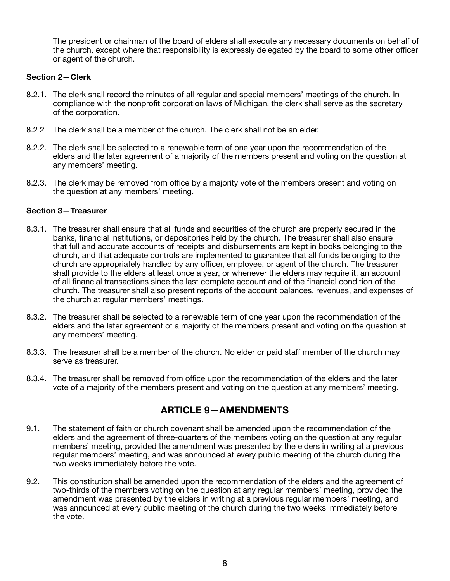The president or chairman of the board of elders shall execute any necessary documents on behalf of the church, except where that responsibility is expressly delegated by the board to some other officer or agent of the church.

### **Section 2—Clerk**

- 8.2.1. The clerk shall record the minutes of all regular and special members' meetings of the church. In compliance with the nonprofit corporation laws of Michigan, the clerk shall serve as the secretary of the corporation.
- 8.2 2 The clerk shall be a member of the church. The clerk shall not be an elder.
- 8.2.2. The clerk shall be selected to a renewable term of one year upon the recommendation of the elders and the later agreement of a majority of the members present and voting on the question at any members' meeting.
- 8.2.3. The clerk may be removed from office by a majority vote of the members present and voting on the question at any members' meeting.

### **Section 3—Treasurer**

- 8.3.1. The treasurer shall ensure that all funds and securities of the church are properly secured in the banks, financial institutions, or depositories held by the church. The treasurer shall also ensure that full and accurate accounts of receipts and disbursements are kept in books belonging to the church, and that adequate controls are implemented to guarantee that all funds belonging to the church are appropriately handled by any officer, employee, or agent of the church. The treasurer shall provide to the elders at least once a year, or whenever the elders may require it, an account of all financial transactions since the last complete account and of the financial condition of the church. The treasurer shall also present reports of the account balances, revenues, and expenses of the church at regular members' meetings.
- 8.3.2. The treasurer shall be selected to a renewable term of one year upon the recommendation of the elders and the later agreement of a majority of the members present and voting on the question at any members' meeting.
- 8.3.3. The treasurer shall be a member of the church. No elder or paid staff member of the church may serve as treasurer.
- 8.3.4. The treasurer shall be removed from office upon the recommendation of the elders and the later vote of a majority of the members present and voting on the question at any members' meeting.

# <span id="page-8-0"></span>**ARTICLE 9—AMENDMENTS**

- 9.1. The statement of faith or church covenant shall be amended upon the recommendation of the elders and the agreement of three-quarters of the members voting on the question at any regular members' meeting, provided the amendment was presented by the elders in writing at a previous regular members' meeting, and was announced at every public meeting of the church during the two weeks immediately before the vote.
- 9.2. This constitution shall be amended upon the recommendation of the elders and the agreement of two-thirds of the members voting on the question at any regular members' meeting, provided the amendment was presented by the elders in writing at a previous regular members' meeting, and was announced at every public meeting of the church during the two weeks immediately before the vote.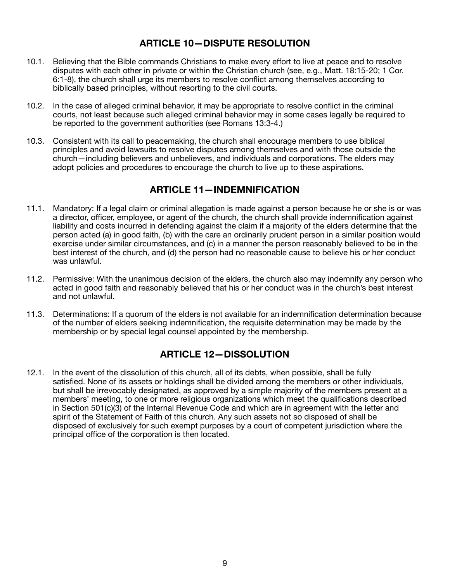# <span id="page-9-0"></span>**ARTICLE 10—DISPUTE RESOLUTION**

- 10.1. Believing that the Bible commands Christians to make every effort to live at peace and to resolve disputes with each other in private or within the Christian church (see, e.g., Matt. 18:15-20; 1 Cor. 6:1-8), the church shall urge its members to resolve conflict among themselves according to biblically based principles, without resorting to the civil courts.
- 10.2. In the case of alleged criminal behavior, it may be appropriate to resolve conflict in the criminal courts, not least because such alleged criminal behavior may in some cases legally be required to be reported to the government authorities (see Romans 13:3-4.)
- 10.3. Consistent with its call to peacemaking, the church shall encourage members to use biblical principles and avoid lawsuits to resolve disputes among themselves and with those outside the church—including believers and unbelievers, and individuals and corporations. The elders may adopt policies and procedures to encourage the church to live up to these aspirations.

### <span id="page-9-1"></span>**ARTICLE 11—INDEMNIFICATION**

- 11.1. Mandatory: If a legal claim or criminal allegation is made against a person because he or she is or was a director, officer, employee, or agent of the church, the church shall provide indemnification against liability and costs incurred in defending against the claim if a majority of the elders determine that the person acted (a) in good faith, (b) with the care an ordinarily prudent person in a similar position would exercise under similar circumstances, and (c) in a manner the person reasonably believed to be in the best interest of the church, and (d) the person had no reasonable cause to believe his or her conduct was unlawful.
- 11.2. Permissive: With the unanimous decision of the elders, the church also may indemnify any person who acted in good faith and reasonably believed that his or her conduct was in the church's best interest and not unlawful.
- 11.3. Determinations: If a quorum of the elders is not available for an indemnification determination because of the number of elders seeking indemnification, the requisite determination may be made by the membership or by special legal counsel appointed by the membership.

# <span id="page-9-2"></span>**ARTICLE 12—DISSOLUTION**

12.1. In the event of the dissolution of this church, all of its debts, when possible, shall be fully satisfied. None of its assets or holdings shall be divided among the members or other individuals, but shall be irrevocably designated, as approved by a simple majority of the members present at a members' meeting, to one or more religious organizations which meet the qualifications described in Section 501(c)(3) of the Internal Revenue Code and which are in agreement with the letter and spirit of the Statement of Faith of this church. Any such assets not so disposed of shall be disposed of exclusively for such exempt purposes by a court of competent jurisdiction where the principal office of the corporation is then located.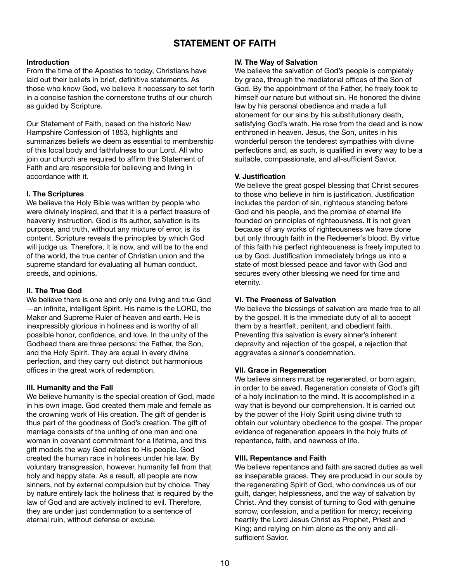# <span id="page-10-0"></span>**STATEMENT OF FAITH**

#### **Introduction**

From the time of the Apostles to today, Christians have laid out their beliefs in brief, definitive statements. As those who know God, we believe it necessary to set forth in a concise fashion the cornerstone truths of our church as guided by Scripture.

Our Statement of Faith, based on the historic New Hampshire Confession of 1853, highlights and summarizes beliefs we deem as essential to membership of this local body and faithfulness to our Lord. All who join our church are required to affirm this Statement of Faith and are responsible for believing and living in accordance with it.

### **I. The Scriptures**

We believe the Holy Bible was written by people who were divinely inspired, and that it is a perfect treasure of heavenly instruction. God is its author, salvation is its purpose, and truth, without any mixture of error, is its content. Scripture reveals the principles by which God will judge us. Therefore, it is now, and will be to the end of the world, the true center of Christian union and the supreme standard for evaluating all human conduct, creeds, and opinions.

### **II. The True God**

We believe there is one and only one living and true God —an infinite, intelligent Spirit. His name is the LORD, the Maker and Supreme Ruler of heaven and earth. He is inexpressibly glorious in holiness and is worthy of all possible honor, confidence, and love. In the unity of the Godhead there are three persons: the Father, the Son, and the Holy Spirit. They are equal in every divine perfection, and they carry out distinct but harmonious offices in the great work of redemption.

### **III. Humanity and the Fall**

We believe humanity is the special creation of God, made in his own image. God created them male and female as the crowning work of His creation. The gift of gender is thus part of the goodness of God's creation. The gift of marriage consists of the uniting of one man and one woman in covenant commitment for a lifetime, and this gift models the way God relates to His people. God created the human race in holiness under his law. By voluntary transgression, however, humanity fell from that holy and happy state. As a result, all people are now sinners, not by external compulsion but by choice. They by nature entirely lack the holiness that is required by the law of God and are actively inclined to evil. Therefore, they are under just condemnation to a sentence of eternal ruin, without defense or excuse.

#### **IV. The Way of Salvation**

We believe the salvation of God's people is completely by grace, through the mediatorial offices of the Son of God. By the appointment of the Father, he freely took to himself our nature but without sin. He honored the divine law by his personal obedience and made a full atonement for our sins by his substitutionary death, satisfying God's wrath. He rose from the dead and is now enthroned in heaven. Jesus, the Son, unites in his wonderful person the tenderest sympathies with divine perfections and, as such, is qualified in every way to be a suitable, compassionate, and all-sufficient Savior.

### **V. Justification**

We believe the great gospel blessing that Christ secures to those who believe in him is justification. Justification includes the pardon of sin, righteous standing before God and his people, and the promise of eternal life founded on principles of righteousness. It is not given because of any works of righteousness we have done but only through faith in the Redeemer's blood. By virtue of this faith his perfect righteousness is freely imputed to us by God. Justification immediately brings us into a state of most blessed peace and favor with God and secures every other blessing we need for time and eternity.

### **VI. The Freeness of Salvation**

We believe the blessings of salvation are made free to all by the gospel. It is the immediate duty of all to accept them by a heartfelt, penitent, and obedient faith. Preventing this salvation is every sinner's inherent depravity and rejection of the gospel, a rejection that aggravates a sinner's condemnation.

#### **VII. Grace in Regeneration**

We believe sinners must be regenerated, or born again, in order to be saved. Regeneration consists of God's gift of a holy inclination to the mind. It is accomplished in a way that is beyond our comprehension. It is carried out by the power of the Holy Spirit using divine truth to obtain our voluntary obedience to the gospel. The proper evidence of regeneration appears in the holy fruits of repentance, faith, and newness of life.

#### **VIII. Repentance and Faith**

We believe repentance and faith are sacred duties as well as inseparable graces. They are produced in our souls by the regenerating Spirit of God, who convinces us of our guilt, danger, helplessness, and the way of salvation by Christ. And they consist of turning to God with genuine sorrow, confession, and a petition for mercy; receiving heartily the Lord Jesus Christ as Prophet, Priest and King; and relying on him alone as the only and allsufficient Savior.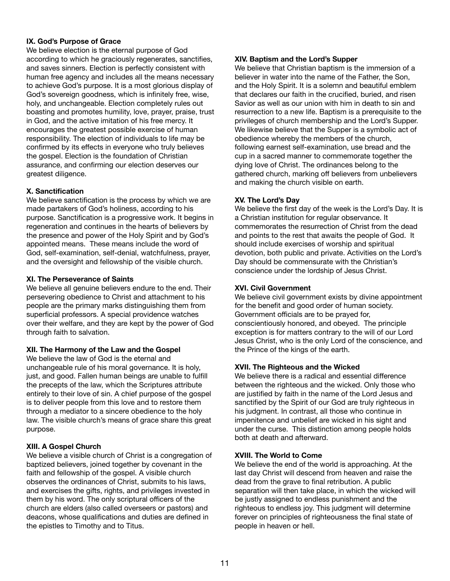### **IX. God's Purpose of Grace**

We believe election is the eternal purpose of God according to which he graciously regenerates, sanctifies, and saves sinners. Election is perfectly consistent with human free agency and includes all the means necessary to achieve God's purpose. It is a most glorious display of God's sovereign goodness, which is infinitely free, wise, holy, and unchangeable. Election completely rules out boasting and promotes humility, love, prayer, praise, trust in God, and the active imitation of his free mercy. It encourages the greatest possible exercise of human responsibility. The election of individuals to life may be confirmed by its effects in everyone who truly believes the gospel. Election is the foundation of Christian assurance, and confirming our election deserves our greatest diligence.

#### **X. Sanctification**

We believe sanctification is the process by which we are made partakers of God's holiness, according to his purpose. Sanctification is a progressive work. It begins in regeneration and continues in the hearts of believers by the presence and power of the Holy Spirit and by God's appointed means. These means include the word of God, self-examination, self-denial, watchfulness, prayer, and the oversight and fellowship of the visible church.

#### **XI. The Perseverance of Saints**

We believe all genuine believers endure to the end. Their persevering obedience to Christ and attachment to his people are the primary marks distinguishing them from superficial professors. A special providence watches over their welfare, and they are kept by the power of God through faith to salvation.

### **XII. The Harmony of the Law and the Gospel**

We believe the law of God is the eternal and unchangeable rule of his moral governance. It is holy, just, and good. Fallen human beings are unable to fulfill the precepts of the law, which the Scriptures attribute entirely to their love of sin. A chief purpose of the gospel is to deliver people from this love and to restore them through a mediator to a sincere obedience to the holy law. The visible church's means of grace share this great purpose.

#### **XIII. A Gospel Church**

We believe a visible church of Christ is a congregation of baptized believers, joined together by covenant in the faith and fellowship of the gospel. A visible church observes the ordinances of Christ, submits to his laws, and exercises the gifts, rights, and privileges invested in them by his word. The only scriptural officers of the church are elders (also called overseers or pastors) and deacons, whose qualifications and duties are defined in the epistles to Timothy and to Titus.

#### **XIV. Baptism and the Lord's Supper**

We believe that Christian baptism is the immersion of a believer in water into the name of the Father, the Son, and the Holy Spirit. It is a solemn and beautiful emblem that declares our faith in the crucified, buried, and risen Savior as well as our union with him in death to sin and resurrection to a new life. Baptism is a prerequisite to the privileges of church membership and the Lord's Supper. We likewise believe that the Supper is a symbolic act of obedience whereby the members of the church, following earnest self-examination, use bread and the cup in a sacred manner to commemorate together the dying love of Christ. The ordinances belong to the gathered church, marking off believers from unbelievers and making the church visible on earth.

### **XV. The Lord's Day**

We believe the first day of the week is the Lord's Day. It is a Christian institution for regular observance. It commemorates the resurrection of Christ from the dead and points to the rest that awaits the people of God. It should include exercises of worship and spiritual devotion, both public and private. Activities on the Lord's Day should be commensurate with the Christian's conscience under the lordship of Jesus Christ.

#### **XVI. Civil Government**

We believe civil government exists by divine appointment for the benefit and good order of human society. Government officials are to be prayed for, conscientiously honored, and obeyed. The principle exception is for matters contrary to the will of our Lord Jesus Christ, who is the only Lord of the conscience, and the Prince of the kings of the earth.

#### **XVII. The Righteous and the Wicked**

We believe there is a radical and essential difference between the righteous and the wicked. Only those who are justified by faith in the name of the Lord Jesus and sanctified by the Spirit of our God are truly righteous in his judgment. In contrast, all those who continue in impenitence and unbelief are wicked in his sight and under the curse. This distinction among people holds both at death and afterward.

#### **XVIII. The World to Come**

We believe the end of the world is approaching. At the last day Christ will descend from heaven and raise the dead from the grave to final retribution. A public separation will then take place, in which the wicked will be justly assigned to endless punishment and the righteous to endless joy. This judgment will determine forever on principles of righteousness the final state of people in heaven or hell.